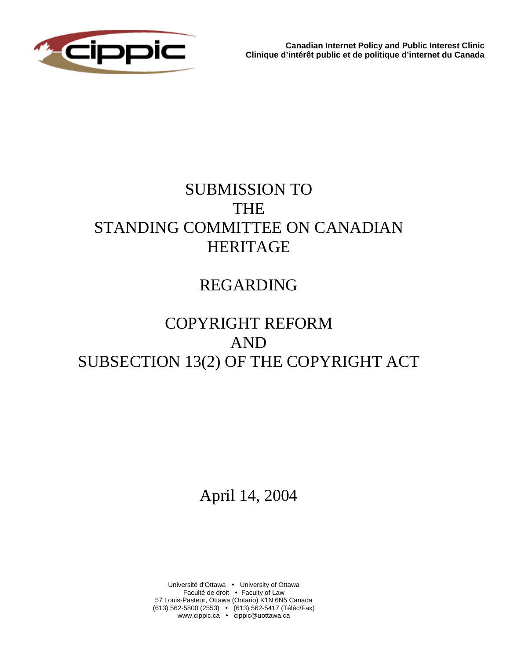

**Canadian Internet Policy and Public Interest Clinic Clinique d'intérêt public et de politique d'internet du Canada** 

# SUBMISSION TO THE STANDING COMMITTEE ON CANADIAN HERITAGE

## REGARDING

# COPYRIGHT REFORM AND SUBSECTION 13(2) OF THE COPYRIGHT ACT

April 14, 2004

Université d'Ottawa • University of Ottawa Faculté de droit • Faculty of Law 57 Louis-Pasteur, Ottawa (Ontario) K1N 6N5 Canada (613) 562-5800 (2553) • (613) 562-5417 (Téléc/Fax) www.cippic.ca · cippic@uottawa.ca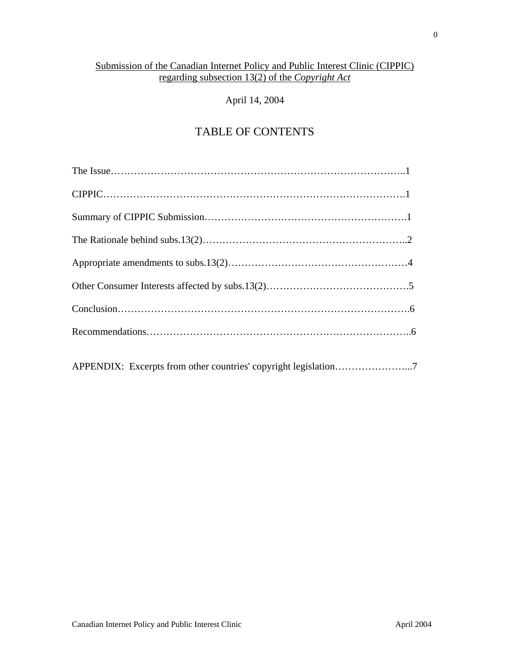## Submission of the Canadian Internet Policy and Public Interest Clinic (CIPPIC) regarding subsection 13(2) of the *Copyright Act*

## April 14, 2004

## TABLE OF CONTENTS

| APPENDIX: Excerpts from other countries' copyright legislation7 |
|-----------------------------------------------------------------|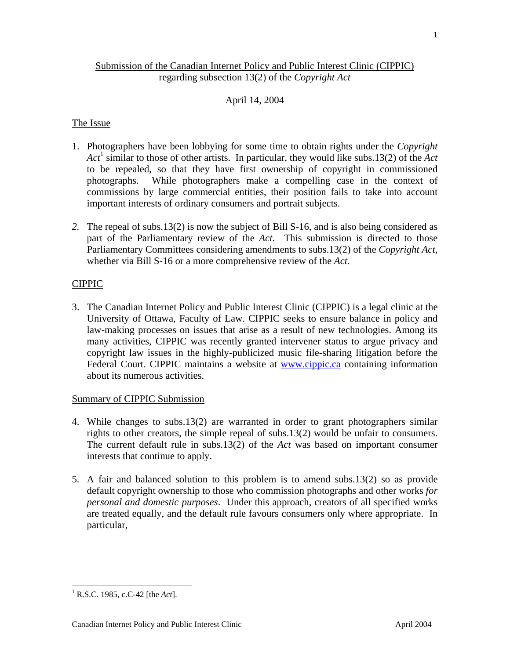## April 14, 2004

regarding subsection 13(2) of the *Copyright Act*

#### The Issue

- 1. Photographers have been lobbying for some time to obtain rights under the *Copyright Act*[1](#page-2-0) similar to those of other artists. In particular, they would like subs.13(2) of the *Act* to be repealed, so that they have first ownership of copyright in commissioned photographs. While photographers make a compelling case in the context of commissions by large commercial entities, their position fails to take into account important interests of ordinary consumers and portrait subjects.
- *2.* The repeal of subs.13(2) is now the subject of Bill S-16, and is also being considered as part of the Parliamentary review of the *Act*. This submission is directed to those Parliamentary Committees considering amendments to subs.13(2) of the *Copyright Act,* whether via Bill S-16 or a more comprehensive review of the *Act.*

## CIPPIC

3. The Canadian Internet Policy and Public Interest Clinic (CIPPIC) is a legal clinic at the University of Ottawa, Faculty of Law. CIPPIC seeks to ensure balance in policy and law-making processes on issues that arise as a result of new technologies. Among its many activities, CIPPIC was recently granted intervener status to argue privacy and copyright law issues in the highly-publicized music file-sharing litigation before the Federal Court. CIPPIC maintains a website at **[www.cippic.ca](http://www.cippic.ca/)** containing information about its numerous activities.

#### Summary of CIPPIC Submission

- 4. While changes to subs.13(2) are warranted in order to grant photographers similar rights to other creators, the simple repeal of subs.13(2) would be unfair to consumers. The current default rule in subs.13(2) of the *Act* was based on important consumer interests that continue to apply.
- <span id="page-2-0"></span>5. A fair and balanced solution to this problem is to amend subs.13(2) so as provide default copyright ownership to those who commission photographs and other works *for personal and domestic purposes*. Under this approach, creators of all specified works are treated equally, and the default rule favours consumers only where appropriate. In particular,

1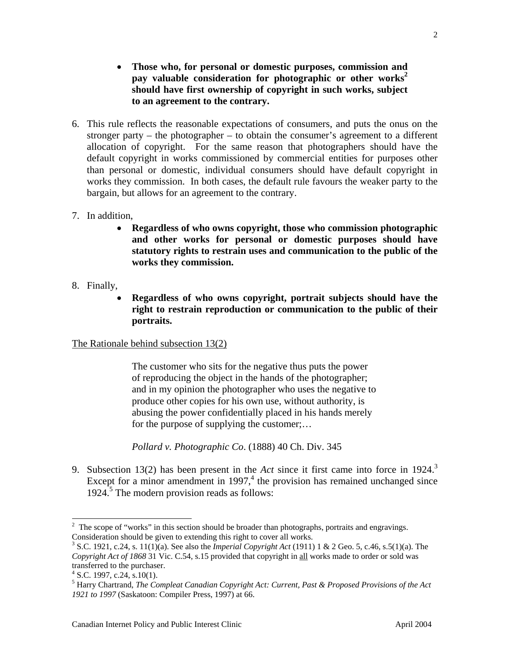- **Those who, for personal or domestic purposes, commission and pay valuable consideration for photographic or other works<sup>2</sup> should have first ownership of copyright in such works, subje[ct](#page-3-0)  to an agreement to the contrary.**
- 6. This rule reflects the reasonable expectations of consumers, and puts the onus on the stronger party – the photographer – to obtain the consumer's agreement to a different allocation of copyright. For the same reason that photographers should have the default copyright in works commissioned by commercial entities for purposes other than personal or domestic, individual consumers should have default copyright in works they commission. In both cases, the default rule favours the weaker party to the bargain, but allows for an agreement to the contrary.
- 7. In addition,
	- **Regardless of who owns copyright, those who commission photographic and other works for personal or domestic purposes should have statutory rights to restrain uses and communication to the public of the works they commission.**
- 8. Finally,
	- **Regardless of who owns copyright, portrait subjects should have the right to restrain reproduction or communication to the public of their portraits.**

#### The Rationale behind subsection 13(2)

The customer who sits for the negative thus puts the power of reproducing the object in the hands of the photographer; and in my opinion the photographer who uses the negative to produce other copies for his own use, without authority, is abusing the power confidentially placed in his hands merely for the purpose of supplying the customer;...

*Pollard v. Photographic Co*. (1888) 40 Ch. Div. 345

9. Subsection 13(2) has been present in the *Act* since it first came into force in 1924.<sup>3</sup> Except for a minor amendment in 1997, $4$  the provision has remained unchanged since 1924.<sup>5</sup> The modern provision reads as follows:

<span id="page-3-0"></span><sup>&</sup>lt;sup>2</sup>  $\frac{1}{2}$  The scope of "works" in this section should be broader than photographs, portraits and engravings. Consideration should be given to extending this right to cover all works.

<span id="page-3-1"></span><sup>&</sup>lt;sup>3</sup> S.C. 1921, c.24, s. 11(1)(a). See also the *Imperial Copyright Act* (1911) 1 & 2 Geo. 5, c.46, s.5(1)(a). The *Copyright Act of 1868* 31 Vic. C.54, s.15 provided that copyright in all works made to order or sold was transferred to the purchaser. 4

<span id="page-3-2"></span> $4$  S.C. 1997, c.24, s.10(1).

<span id="page-3-3"></span>Harry Chartrand, *The Compleat Canadian Copyright Act: Current, Past & Proposed Provisions of the Act 1921 to 1997* (Saskatoon: Compiler Press, 1997) at 66.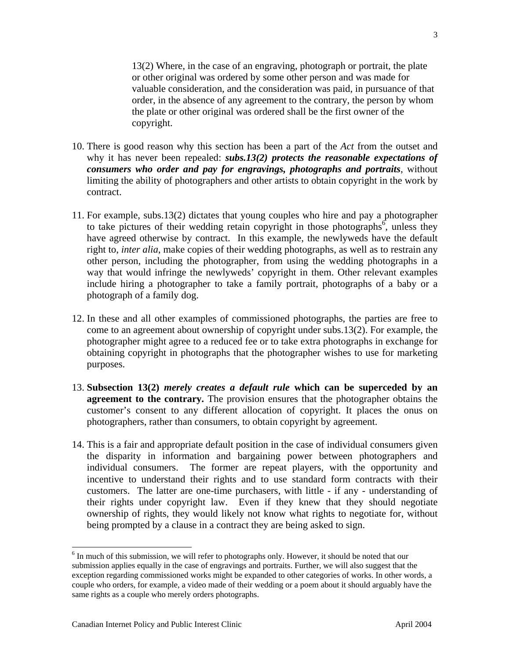13(2) Where, in the case of an engraving, photograph or portrait, the plate or other original was ordered by some other person and was made for valuable consideration, and the consideration was paid, in pursuance of that order, in the absence of any agreement to the contrary, the person by whom the plate or other original was ordered shall be the first owner of the copyright.

- 10. There is good reason why this section has been a part of the *Act* from the outset and why it has never been repealed: *subs.13(2) protects the reasonable expectations of consumers who order and pay for engravings, photographs and portraits*, without limiting the ability of photographers and other artists to obtain copyright in the work by contract.
- 11. For example, subs.13(2) dictates that young couples who hire and pay a photographer to take pictures of their wedding retain copyright in those photographs<sup>[6](#page-4-0)</sup>, unless they have agreed otherwise by contract. In this example, the newlyweds have the default right to, *inter alia*, make copies of their wedding photographs, as well as to restrain any other person, including the photographer, from using the wedding photographs in a way that would infringe the newlyweds' copyright in them. Other relevant examples include hiring a photographer to take a family portrait, photographs of a baby or a photograph of a family dog.
- 12. In these and all other examples of commissioned photographs, the parties are free to come to an agreement about ownership of copyright under subs.13(2). For example, the photographer might agree to a reduced fee or to take extra photographs in exchange for obtaining copyright in photographs that the photographer wishes to use for marketing purposes.
- 13. **Subsection 13(2)** *merely creates a default rule* **which can be superceded by an agreement to the contrary.** The provision ensures that the photographer obtains the customer's consent to any different allocation of copyright. It places the onus on photographers, rather than consumers, to obtain copyright by agreement.
- 14. This is a fair and appropriate default position in the case of individual consumers given the disparity in information and bargaining power between photographers and individual consumers. The former are repeat players, with the opportunity and incentive to understand their rights and to use standard form contracts with their customers. The latter are one-time purchasers, with little - if any - understanding of their rights under copyright law. Even if they knew that they should negotiate ownership of rights, they would likely not know what rights to negotiate for, without being prompted by a clause in a contract they are being asked to sign.

<span id="page-4-0"></span> <sup>6</sup>  $6$  In much of this submission, we will refer to photographs only. However, it should be noted that our submission applies equally in the case of engravings and portraits. Further, we will also suggest that the exception regarding commissioned works might be expanded to other categories of works. In other words, a couple who orders, for example, a video made of their wedding or a poem about it should arguably have the same rights as a couple who merely orders photographs.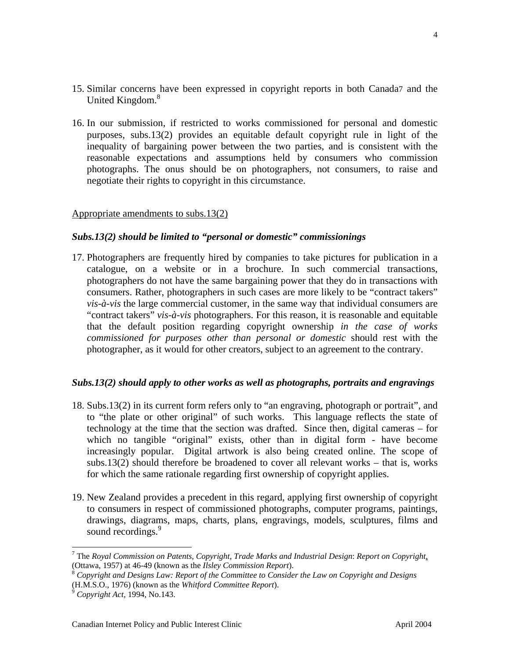- 15. Similar concerns have been expressed in copyright reports in both Canada[7](#page-5-0) and the United Kingdom.<sup>[8](#page-5-1)</sup>
- 16. In our submission, if restricted to works commissioned for personal and domestic purposes, subs.13(2) provides an equitable default copyright rule in light of the inequality of bargaining power between the two parties, and is consistent with the reasonable expectations and assumptions held by consumers who commission photographs. The onus should be on photographers, not consumers, to raise and negotiate their rights to copyright in this circumstance.

#### Appropriate amendments to subs.13(2)

#### *Subs.13(2) should be limited to "personal or domestic" commissionings*

17. Photographers are frequently hired by companies to take pictures for publication in a catalogue, on a website or in a brochure. In such commercial transactions, photographers do not have the same bargaining power that they do in transactions with consumers. Rather, photographers in such cases are more likely to be "contract takers" *vis-à-vis* the large commercial customer, in the same way that individual consumers are "contract takers" *vis-à-vis* photographers. For this reason, it is reasonable and equitable that the default position regarding copyright ownership *in the case of works commissioned for purposes other than personal or domestic* should rest with the photographer, as it would for other creators, subject to an agreement to the contrary.

#### *Subs.13(2) should apply to other works as well as photographs, portraits and engravings*

- 18. Subs.13(2) in its current form refers only to "an engraving, photograph or portrait", and to "the plate or other original" of such works. This language reflects the state of technology at the time that the section was drafted. Since then, digital cameras – for which no tangible "original" exists, other than in digital form - have become increasingly popular. Digital artwork is also being created online. The scope of subs.13(2) should therefore be broadened to cover all relevant works – that is, works for which the same rationale regarding first ownership of copyright applies.
- 19. New Zealand provides a precedent in this regard, applying first ownership of copyright to consumers in respect of commissioned photographs, computer programs, paintings, drawings, diagrams, maps, charts, plans, engravings, models, sculptures, films and sound recordings.<sup>[9](#page-5-2)</sup>

4

<span id="page-5-0"></span><sup>—&</sup>lt;br>7 The *Royal Commission on Patents, Copyright, Trade Marks and Industrial Design*: *Report on Copyright*, (Ottawa, 1957) at 46-49 (known as the *Ilsley Commission Report*). 8 *Copyright and Designs Law: Report of the Committee to Consider the Law on Copyright and Designs*

<span id="page-5-1"></span><sup>(</sup>H.M.S.O., 1976) (known as the *Whitford Committee Report*). 9 *Copyright Act*, 1994, No.143.

<span id="page-5-2"></span>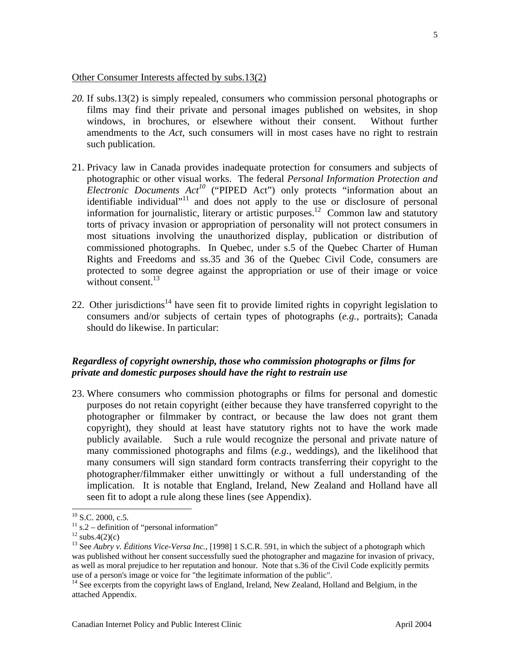- *20.* If subs.13(2) is simply repealed, consumers who commission personal photographs or films may find their private and personal images published on websites, in shop windows, in brochures, or elsewhere without their consent. Without further amendments to the *Act*, such consumers will in most cases have no right to restrain such publication.
- 21. Privacy law in Canada provides inadequate protection for consumers and subjects of photographic or other visual works. The federal *Personal Information Protection and Electronic Documents Act[10](#page-6-0)* ("PIPED Act") only protects "information about an identifiable individual"<sup>11</sup> and does not apply to the use or disclosure of personal information for journalistic, literary or artistic purposes.<sup>12</sup> Common law and statutory torts of privacy invasion or appropriation of personality will not protect consumers in most situations involving the unauthorized display, publication or distribution of commissioned photographs. In Quebec, under s.5 of the Quebec Charter of Human Rights and Freedoms and ss.35 and 36 of the Quebec Civil Code, consumers are protected to some degree against the appropriation or use of their image or voice without consent. $^{13}$  $^{13}$  $^{13}$
- 22. Other jurisdictions<sup>14</sup> have seen fit to provide limited rights in copyright legislation to consumers and/or subjects of certain types of photographs (*e.g.*, portraits); Canada should do likewise. In particular:

#### *Regardless of copyright ownership, those who commission photographs or films for private and domestic purposes should have the right to restrain use*

23. Where consumers who commission photographs or films for personal and domestic purposes do not retain copyright (either because they have transferred copyright to the photographer or filmmaker by contract, or because the law does not grant them copyright), they should at least have statutory rights not to have the work made publicly available. Such a rule would recognize the personal and private nature of many commissioned photographs and films (*e.g.*, weddings), and the likelihood that many consumers will sign standard form contracts transferring their copyright to the photographer/filmmaker either unwittingly or without a full understanding of the implication. It is notable that England, Ireland, New Zealand and Holland have all seen fit to adopt a rule along these lines (see Appendix).

<span id="page-6-0"></span>

<span id="page-6-1"></span>

<span id="page-6-3"></span><span id="page-6-2"></span>

<sup>&</sup>lt;sup>10</sup> S.C. 2000, c.5.<br><sup>11</sup> s.2 – definition of "personal information"<br><sup>12</sup> subs.4(2)(c)<br><sup>13</sup> See *Aubry v. Éditions Vice-Versa Inc.*, [1998] 1 S.C.R. 591, in which the subject of a photograph which was published without her consent successfully sued the photographer and magazine for invasion of privacy, as well as moral prejudice to her reputation and honour. Note that s.36 of the Civil Code explicitly permits use of a person's image or voice for "the legitimate information of the public". 14 See excerpts from the copyright laws of England, Ireland, New Zealand, Holland and Belgium, in the

<span id="page-6-4"></span>attached Appendix.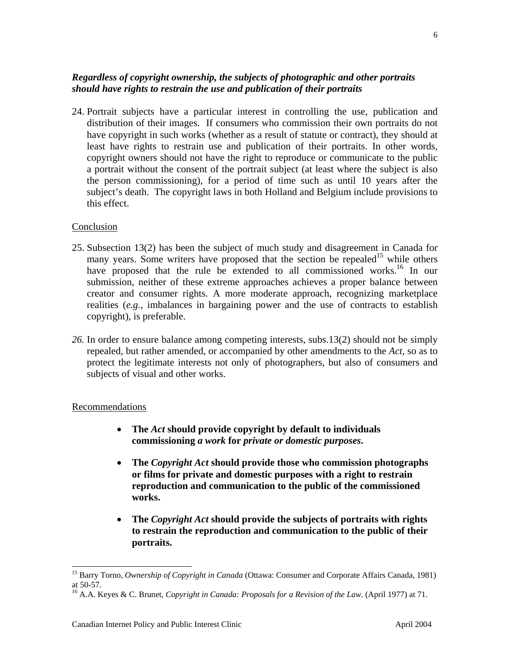#### *Regardless of copyright ownership, the subjects of photographic and other portraits should have rights to restrain the use and publication of their portraits*

24. Portrait subjects have a particular interest in controlling the use, publication and distribution of their images. If consumers who commission their own portraits do not have copyright in such works (whether as a result of statute or contract), they should at least have rights to restrain use and publication of their portraits. In other words, copyright owners should not have the right to reproduce or communicate to the public a portrait without the consent of the portrait subject (at least where the subject is also the person commissioning), for a period of time such as until 10 years after the subject's death. The copyright laws in both Holland and Belgium include provisions to this effect.

#### Conclusion

- 25. Subsection 13(2) has been the subject of much study and disagreement in Canada for many years. Some writers have proposed that the section be repealed<sup>15</sup> while others have proposed that the rule be extended to all commissioned works.<sup>16</sup> In our submission, neither of these extreme approaches achieves a proper balance between creator and consumer rights. A more moderate approach, recognizing marketplace realities (*e.g.*, imbalances in bargaining power and the use of contracts to establish copyright), is preferable.
- *26.* In order to ensure balance among competing interests, subs.13(2) should not be simply repealed, but rather amended, or accompanied by other amendments to the *Act*, so as to protect the legitimate interests not only of photographers, but also of consumers and subjects of visual and other works.

#### Recommendations

- **The** *Act* **should provide copyright by default to individuals commissioning** *a work* **for** *private or domestic purposes***.**
- **The** *Copyright Act* **should provide those who commission photographs or films for private and domestic purposes with a right to restrain reproduction and communication to the public of the commissioned works.**
- **The** *Copyright Act* **should provide the subjects of portraits with rights to restrain the reproduction and communication to the public of their portraits.**

<span id="page-7-0"></span> <sup>15</sup> Barry Torno, *Ownership of Copyright in Canada* (Ottawa: Consumer and Corporate Affairs Canada, 1981) at 50-57.

<span id="page-7-1"></span><sup>16</sup> A.A. Keyes & C. Brunet, *Copyright in Canada: Proposals for a Revision of the Law*. (April 1977) at 71.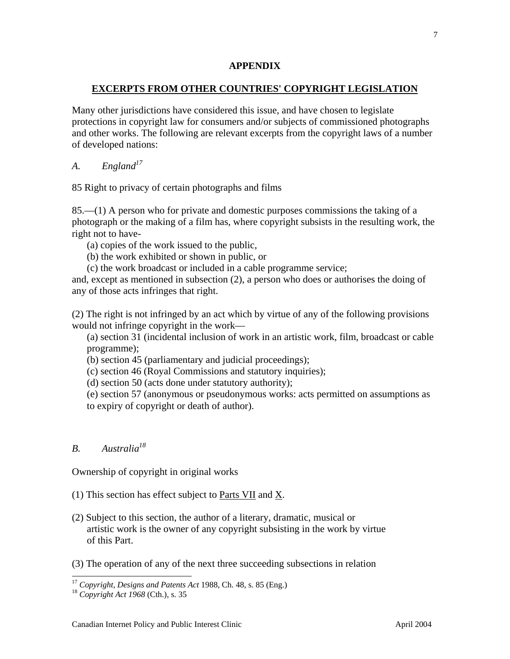#### **APPENDIX**

#### **EXCERPTS FROM OTHER COUNTRIES' COPYRIGHT LEGISLATION**

Many other jurisdictions have considered this issue, and have chosen to legislate protections in copyright law for consumers and/or subjects of commissioned photographs and other works. The following are relevant excerpts from the copyright laws of a number of developed nations:

*A. England*<sup>17</sup>

85 Right to privacy of certain photographs and films

85.—(1) A person who for private and domestic purposes commissions the taking of a photograph or the making of a film has, where copyright subsists in the resulting work, the right not to have-

(a) copies of the work issued to the public,

(b) the work exhibited or shown in public, or

(c) the work broadcast or included in a cable programme service;

and, except as mentioned in subsection (2), a person who does or authorises the doing of any of those acts infringes that right.

(2) The right is not infringed by an act which by virtue of any of the following provisions would not infringe copyright in the work—

(a) section 31 (incidental inclusion of work in an artistic work, film, broadcast or cable programme);

(b) section 45 (parliamentary and judicial proceedings);

(c) section 46 (Royal Commissions and statutory inquiries);

(d) section 50 (acts done under statutory authority);

(e) section 57 (anonymous or pseudonymous works: acts permitted on assumptions as to expiry of copyright or death of author).

## *B. Australi[a18](#page-8-1)*

Ownership of copyright in original works

- (1) This section has effect subject to Parts VII and X.
- (2) Subject to this section, the author of a literary, dramatic, musical or artistic work is the owner of any copyright subsisting in the work by virtue of this Part.
- (3) The operation of any of the next three succeeding subsections in relation

<span id="page-8-0"></span><sup>17</sup> *Copyright, Designs and Patents Act* 1988, Ch. 48, s. 85 (Eng.) 18 *Copyright Act 1968* (Cth.), s. <sup>35</sup>

<span id="page-8-1"></span>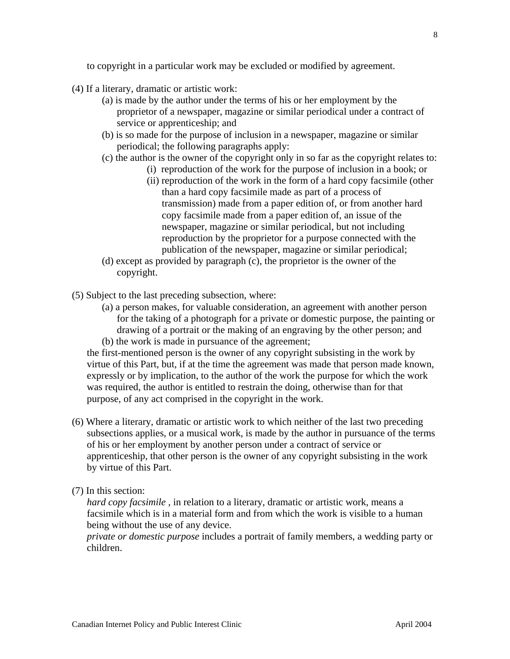to copyright in a particular work may be excluded or modified by agreement.

- (4) If a literary, dramatic or artistic work:
	- (a) is made by the author under the terms of his or her employment by the proprietor of a newspaper, magazine or similar periodical under a contract of service or apprenticeship; and
	- (b) is so made for the purpose of inclusion in a newspaper, magazine or similar periodical; the following paragraphs apply:
	- (c) the author is the owner of the copyright only in so far as the copyright relates to:
		- (i) reproduction of the work for the purpose of inclusion in a book; or
		- (ii) reproduction of the work in the form of a hard copy facsimile (other than a hard copy facsimile made as part of a process of transmission) made from a paper edition of, or from another hard copy facsimile made from a paper edition of, an issue of the newspaper, magazine or similar periodical, but not including reproduction by the proprietor for a purpose connected with the publication of the newspaper, magazine or similar periodical;
	- (d) except as provided by paragraph (c), the proprietor is the owner of the copyright.
- (5) Subject to the last preceding subsection, where:
	- (a) a person makes, for valuable consideration, an agreement with another person for the taking of a photograph for a private or domestic purpose, the painting or drawing of a portrait or the making of an engraving by the other person; and (b) the work is made in pursuance of the agreement;

the first-mentioned person is the owner of any copyright subsisting in the work by virtue of this Part, but, if at the time the agreement was made that person made known, expressly or by implication, to the author of the work the purpose for which the work was required, the author is entitled to restrain the doing, otherwise than for that purpose, of any act comprised in the copyright in the work.

- (6) Where a literary, dramatic or artistic work to which neither of the last two preceding subsections applies, or a musical work, is made by the author in pursuance of the terms of his or her employment by another person under a contract of service or apprenticeship, that other person is the owner of any copyright subsisting in the work by virtue of this Part.
- (7) In this section:

*hard copy facsimile* , in relation to a literary, dramatic or artistic work, means a facsimile which is in a material form and from which the work is visible to a human being without the use of any device.

*private or domestic purpose* includes a portrait of family members, a wedding party or children.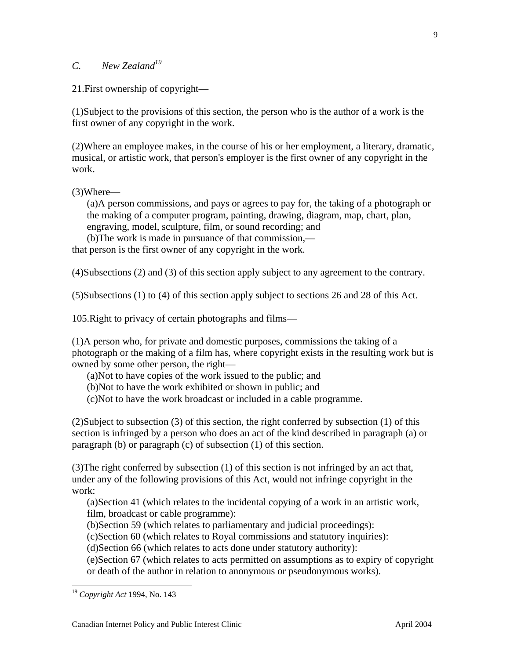## *C. New Zealand[19](#page-10-0)*

21.First ownership of copyright—

(1)Subject to the provisions of this section, the person who is the author of a work is the first owner of any copyright in the work.

(2)Where an employee makes, in the course of his or her employment, a literary, dramatic, musical, or artistic work, that person's employer is the first owner of any copyright in the work.

(3)Where—

(a)A person commissions, and pays or agrees to pay for, the taking of a photograph or the making of a computer program, painting, drawing, diagram, map, chart, plan, engraving, model, sculpture, film, or sound recording; and

(b)The work is made in pursuance of that commission, that person is the first owner of any copyright in the work.

(4)Subsections (2) and (3) of this section apply subject to any agreement to the contrary.

(5)Subsections (1) to (4) of this section apply subject to sections 26 and 28 of this Act.

105.Right to privacy of certain photographs and films—

(1)A person who, for private and domestic purposes, commissions the taking of a photograph or the making of a film has, where copyright exists in the resulting work but is owned by some other person, the right—

(a)Not to have copies of the work issued to the public; and

(b)Not to have the work exhibited or shown in public; and

(c)Not to have the work broadcast or included in a cable programme.

(2)Subject to subsection (3) of this section, the right conferred by subsection (1) of this section is infringed by a person who does an act of the kind described in paragraph (a) or paragraph (b) or paragraph (c) of subsection (1) of this section.

(3)The right conferred by subsection (1) of this section is not infringed by an act that, under any of the following provisions of this Act, would not infringe copyright in the work:

(a)Section 41 (which relates to the incidental copying of a work in an artistic work, film, broadcast or cable programme):

(b)Section 59 (which relates to parliamentary and judicial proceedings):

(c)Section 60 (which relates to Royal commissions and statutory inquiries):

(d)Section 66 (which relates to acts done under statutory authority):

(e)Section 67 (which relates to acts permitted on assumptions as to expiry of copyright or death of the author in relation to anonymous or pseudonymous works).

<span id="page-10-0"></span> <sup>19</sup> *Copyright Act* 1994, No. 143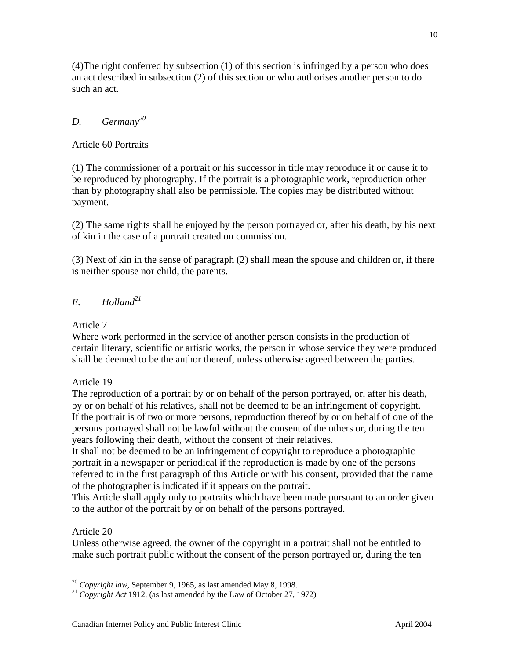(4)The right conferred by subsection (1) of this section is infringed by a person who does an act described in subsection (2) of this section or who authorises another person to do such an act.

## *D. Germany[20](#page-11-0)*

Article 60 Portraits

(1) The commissioner of a portrait or his successor in title may reproduce it or cause it to be reproduced by photography. If the portrait is a photographic work, reproduction other than by photography shall also be permissible. The copies may be distributed without payment.

(2) The same rights shall be enjoyed by the person portrayed or, after his death, by his next of kin in the case of a portrait created on commission.

(3) Next of kin in the sense of paragraph (2) shall mean the spouse and children or, if there is neither spouse nor child, the parents.

## *E. Holland[21](#page-11-1)*

Article 7

Where work performed in the service of another person consists in the production of certain literary, scientific or artistic works, the person in whose service they were produced shall be deemed to be the author thereof, unless otherwise agreed between the parties.

Article 19

The reproduction of a portrait by or on behalf of the person portrayed, or, after his death, by or on behalf of his relatives, shall not be deemed to be an infringement of copyright. If the portrait is of two or more persons, reproduction thereof by or on behalf of one of the persons portrayed shall not be lawful without the consent of the others or, during the ten years following their death, without the consent of their relatives.

It shall not be deemed to be an infringement of copyright to reproduce a photographic portrait in a newspaper or periodical if the reproduction is made by one of the persons referred to in the first paragraph of this Article or with his consent, provided that the name of the photographer is indicated if it appears on the portrait.

This Article shall apply only to portraits which have been made pursuant to an order given to the author of the portrait by or on behalf of the persons portrayed.

## Article 20

Unless otherwise agreed, the owner of the copyright in a portrait shall not be entitled to make such portrait public without the consent of the person portrayed or, during the ten

<span id="page-11-1"></span><span id="page-11-0"></span>

<sup>20</sup> *Copyright law*, September 9, 1965, as last amended May 8, 1998. 21 *Copyright Act* 1912, (as last amended by the Law of October 27, 1972)